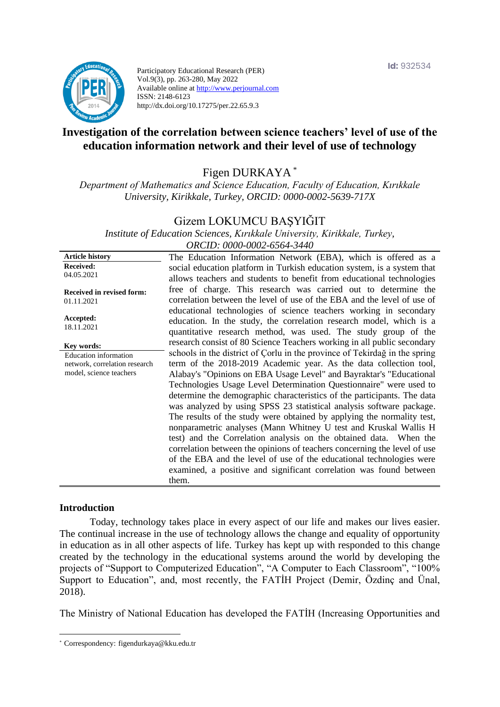

Participatory Educational Research (PER) Vol.9(3), pp. 263-280, May 2022 Available online at http://www.perjournal.com ISSN: 2148-6123 http://dx.doi.org/10.17275/per.22.65.9.3

# **Investigation of the correlation between science teachers' level of use of the education information network and their level of use of technology**

Figen DURKAYA \*

*Department of Mathematics and Science Education, Faculty of Education, Kırıkkale University, Kirikkale, Turkey, ORCID: 0000-0002-5639-717X*

### Gizem LOKUMCU BAŞYIĞIT

*Institute of Education Sciences, Kırıkkale University, Kirikkale, Turkey, ORCID: 0000-0002-6564-3440*

**Article history Received:**  04.05.2021 **Received in revised form:**  01.11.2021 **Accepted:** 18.11.2021 The Education Information Network (EBA), which is offered as a social education platform in Turkish education system, is a system that allows teachers and students to benefit from educational technologies free of charge. This research was carried out to determine the correlation between the level of use of the EBA and the level of use of educational technologies of science teachers working in secondary education. In the study, the correlation research model, which is a quantitative research method, was used. The study group of the research consist of 80 Science Teachers working in all public secondary schools in the district of Çorlu in the province of Tekirdağ in the spring term of the 2018-2019 Academic year. As the data collection tool, Alabay's "Opinions on EBA Usage Level" and Bayraktar's "Educational Technologies Usage Level Determination Questionnaire" were used to determine the demographic characteristics of the participants. The data was analyzed by using SPSS 23 statistical analysis software package. The results of the study were obtained by applying the normality test, nonparametric analyses (Mann Whitney U test and Kruskal Wallis H test) and the Correlation analysis on the obtained data. When the correlation between the opinions of teachers concerning the level of use of the EBA and the level of use of the educational technologies were examined, a positive and significant correlation was found between them. **Key words:** Education information network, correlation research model, science teachers

#### **Introduction**

Today, technology takes place in every aspect of our life and makes our lives easier. The continual increase in the use of technology allows the change and equality of opportunity in education as in all other aspects of life. Turkey has kept up with responded to this change created by the technology in the educational systems around the world by developing the projects of "Support to Computerized Education", "A Computer to Each Classroom", "100% Support to Education", and, most recently, the FATİH Project (Demir, Özdinç and Ünal, 2018).

The Ministry of National Education has developed the FATİH (Increasing Opportunities and

<sup>\*</sup> [Correspondency:](mailto:Correspondency:) figendurkaya@kku.edu.tr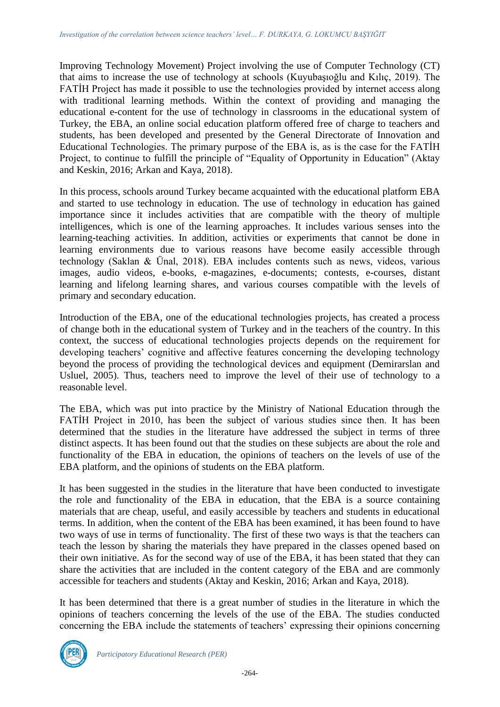Improving Technology Movement) Project involving the use of Computer Technology (CT) that aims to increase the use of technology at schools (Kuyubaşıoğlu and Kılıç, 2019). The FATİH Project has made it possible to use the technologies provided by internet access along with traditional learning methods. Within the context of providing and managing the educational e-content for the use of technology in classrooms in the educational system of Turkey, the EBA, an online social education platform offered free of charge to teachers and students, has been developed and presented by the General Directorate of Innovation and Educational Technologies. The primary purpose of the EBA is, as is the case for the FATİH Project, to continue to fulfill the principle of "Equality of Opportunity in Education" (Aktay and Keskin, 2016; Arkan and Kaya, 2018).

In this process, schools around Turkey became acquainted with the educational platform EBA and started to use technology in education. The use of technology in education has gained importance since it includes activities that are compatible with the theory of multiple intelligences, which is one of the learning approaches. It includes various senses into the learning-teaching activities. In addition, activities or experiments that cannot be done in learning environments due to various reasons have become easily accessible through technology (Saklan & Ünal, 2018). EBA includes contents such as news, videos, various images, audio videos, e-books, e-magazines, e-documents; contests, e-courses, distant learning and lifelong learning shares, and various courses compatible with the levels of primary and secondary education.

Introduction of the EBA, one of the educational technologies projects, has created a process of change both in the educational system of Turkey and in the teachers of the country. In this context, the success of educational technologies projects depends on the requirement for developing teachers' cognitive and affective features concerning the developing technology beyond the process of providing the technological devices and equipment (Demirarslan and Usluel, 2005). Thus, teachers need to improve the level of their use of technology to a reasonable level.

The EBA, which was put into practice by the Ministry of National Education through the FATİH Project in 2010, has been the subject of various studies since then. It has been determined that the studies in the literature have addressed the subject in terms of three distinct aspects. It has been found out that the studies on these subjects are about the role and functionality of the EBA in education, the opinions of teachers on the levels of use of the EBA platform, and the opinions of students on the EBA platform.

It has been suggested in the studies in the literature that have been conducted to investigate the role and functionality of the EBA in education, that the EBA is a source containing materials that are cheap, useful, and easily accessible by teachers and students in educational terms. In addition, when the content of the EBA has been examined, it has been found to have two ways of use in terms of functionality. The first of these two ways is that the teachers can teach the lesson by sharing the materials they have prepared in the classes opened based on their own initiative. As for the second way of use of the EBA, it has been stated that they can share the activities that are included in the content category of the EBA and are commonly accessible for teachers and students (Aktay and Keskin, 2016; Arkan and Kaya, 2018).

It has been determined that there is a great number of studies in the literature in which the opinions of teachers concerning the levels of the use of the EBA. The studies conducted concerning the EBA include the statements of teachers' expressing their opinions concerning

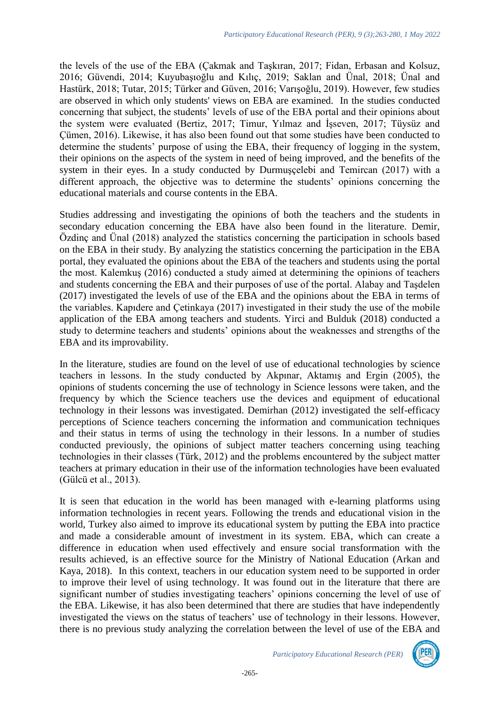the levels of the use of the EBA (Çakmak and Taşkıran, 2017; Fidan, Erbasan and Kolsuz, 2016; Güvendi, 2014; Kuyubaşıoğlu and Kılıç, 2019; Saklan and Ünal, 2018; Ünal and Hastürk, 2018; Tutar, 2015; Türker and Güven, 2016; Varışoğlu, 2019). However, few studies are observed in which only students' views on EBA are examined. In the studies conducted concerning that subject, the students' levels of use of the EBA portal and their opinions about the system were evaluated (Bertiz, 2017; Timur, Yılmaz and İşseven, 2017; Tüysüz and Çümen, 2016). Likewise, it has also been found out that some studies have been conducted to determine the students' purpose of using the EBA, their frequency of logging in the system, their opinions on the aspects of the system in need of being improved, and the benefits of the system in their eyes. In a study conducted by Durmuşçelebi and Temircan (2017) with a different approach, the objective was to determine the students' opinions concerning the educational materials and course contents in the EBA.

Studies addressing and investigating the opinions of both the teachers and the students in secondary education concerning the EBA have also been found in the literature. Demir, Özdinç and Ünal (2018) analyzed the statistics concerning the participation in schools based on the EBA in their study. By analyzing the statistics concerning the participation in the EBA portal, they evaluated the opinions about the EBA of the teachers and students using the portal the most. Kalemkuş (2016) conducted a study aimed at determining the opinions of teachers and students concerning the EBA and their purposes of use of the portal. Alabay and Taşdelen (2017) investigated the levels of use of the EBA and the opinions about the EBA in terms of the variables. Kapıdere and Çetinkaya (2017) investigated in their study the use of the mobile application of the EBA among teachers and students. Yirci and Bulduk (2018) conducted a study to determine teachers and students' opinions about the weaknesses and strengths of the EBA and its improvability.

In the literature, studies are found on the level of use of educational technologies by science teachers in lessons. In the study conducted by Akpınar, Aktamış and Ergin (2005), the opinions of students concerning the use of technology in Science lessons were taken, and the frequency by which the Science teachers use the devices and equipment of educational technology in their lessons was investigated. Demirhan (2012) investigated the self-efficacy perceptions of Science teachers concerning the information and communication techniques and their status in terms of using the technology in their lessons. In a number of studies conducted previously, the opinions of subject matter teachers concerning using teaching technologies in their classes (Türk, 2012) and the problems encountered by the subject matter teachers at primary education in their use of the information technologies have been evaluated (Gülcü et al., 2013).

It is seen that education in the world has been managed with e-learning platforms using information technologies in recent years. Following the trends and educational vision in the world, Turkey also aimed to improve its educational system by putting the EBA into practice and made a considerable amount of investment in its system. EBA, which can create a difference in education when used effectively and ensure social transformation with the results achieved, is an effective source for the Ministry of National Education (Arkan and Kaya, 2018). In this context, teachers in our education system need to be supported in order to improve their level of using technology. It was found out in the literature that there are significant number of studies investigating teachers' opinions concerning the level of use of the EBA. Likewise, it has also been determined that there are studies that have independently investigated the views on the status of teachers' use of technology in their lessons. However, there is no previous study analyzing the correlation between the level of use of the EBA and

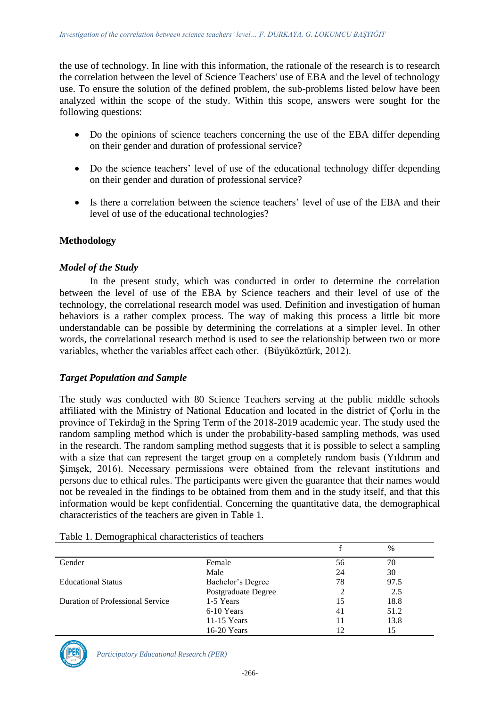the use of technology. In line with this information, the rationale of the research is to research the correlation between the level of Science Teachers' use of EBA and the level of technology use. To ensure the solution of the defined problem, the sub-problems listed below have been analyzed within the scope of the study. Within this scope, answers were sought for the following questions:

- Do the opinions of science teachers concerning the use of the EBA differ depending on their gender and duration of professional service?
- Do the science teachers' level of use of the educational technology differ depending on their gender and duration of professional service?
- Is there a correlation between the science teachers' level of use of the EBA and their level of use of the educational technologies?

## **Methodology**

#### *Model of the Study*

In the present study, which was conducted in order to determine the correlation between the level of use of the EBA by Science teachers and their level of use of the technology, the correlational research model was used. Definition and investigation of human behaviors is a rather complex process. The way of making this process a little bit more understandable can be possible by determining the correlations at a simpler level. In other words, the correlational research method is used to see the relationship between two or more variables, whether the variables affect each other. (Büyüköztürk, 2012).

#### *Target Population and Sample*

The study was conducted with 80 Science Teachers serving at the public middle schools affiliated with the Ministry of National Education and located in the district of Çorlu in the province of Tekirdağ in the Spring Term of the 2018-2019 academic year. The study used the random sampling method which is under the probability-based sampling methods, was used in the research. The random sampling method suggests that it is possible to select a sampling with a size that can represent the target group on a completely random basis (Yıldırım and Şimşek, 2016). Necessary permissions were obtained from the relevant institutions and persons due to ethical rules. The participants were given the guarantee that their names would not be revealed in the findings to be obtained from them and in the study itself, and that this information would be kept confidential. Concerning the quantitative data, the demographical characteristics of the teachers are given in Table 1.

|                                  |                     |    | $\%$ |  |
|----------------------------------|---------------------|----|------|--|
| Gender                           | Female              | 56 | 70   |  |
|                                  | Male                | 24 | 30   |  |
| <b>Educational Status</b>        | Bachelor's Degree   | 78 | 97.5 |  |
|                                  | Postgraduate Degree |    | 2.5  |  |
| Duration of Professional Service | 1-5 Years           | 15 | 18.8 |  |
|                                  | 6-10 Years          | 41 | 51.2 |  |
|                                  | $11-15$ Years       |    | 13.8 |  |
|                                  | 16-20 Years         | 12 | 15   |  |

Table 1. Demographical characteristics of teachers



*Participatory Educational Research (PER)*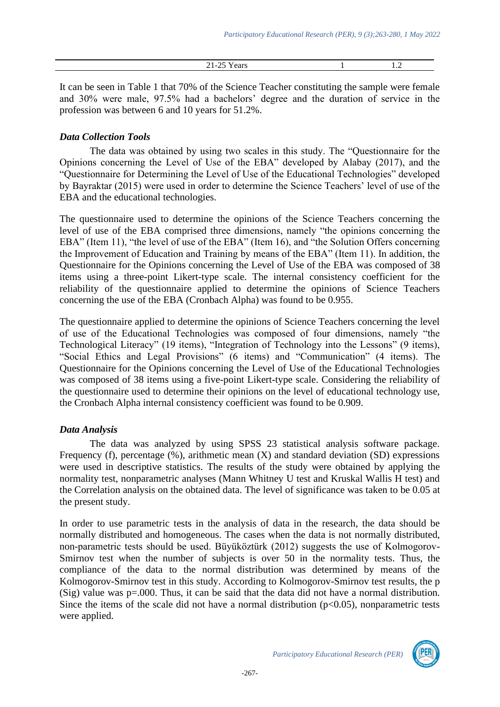| ┑.<br>. .<br>--<br>. . | $\cdot$ |
|------------------------|---------|
|                        |         |

It can be seen in Table 1 that 70% of the Science Teacher constituting the sample were female and 30% were male, 97.5% had a bachelors' degree and the duration of service in the profession was between 6 and 10 years for 51.2%.

#### *Data Collection Tools*

The data was obtained by using two scales in this study. The "Questionnaire for the Opinions concerning the Level of Use of the EBA" developed by Alabay (2017), and the "Questionnaire for Determining the Level of Use of the Educational Technologies" developed by Bayraktar (2015) were used in order to determine the Science Teachers' level of use of the EBA and the educational technologies.

The questionnaire used to determine the opinions of the Science Teachers concerning the level of use of the EBA comprised three dimensions, namely "the opinions concerning the EBA" (Item 11), "the level of use of the EBA" (Item 16), and "the Solution Offers concerning the Improvement of Education and Training by means of the EBA" (Item 11). In addition, the Questionnaire for the Opinions concerning the Level of Use of the EBA was composed of 38 items using a three-point Likert-type scale. The internal consistency coefficient for the reliability of the questionnaire applied to determine the opinions of Science Teachers concerning the use of the EBA (Cronbach Alpha) was found to be 0.955.

The questionnaire applied to determine the opinions of Science Teachers concerning the level of use of the Educational Technologies was composed of four dimensions, namely "the Technological Literacy" (19 items), "Integration of Technology into the Lessons" (9 items), "Social Ethics and Legal Provisions" (6 items) and "Communication" (4 items). The Questionnaire for the Opinions concerning the Level of Use of the Educational Technologies was composed of 38 items using a five-point Likert-type scale. Considering the reliability of the questionnaire used to determine their opinions on the level of educational technology use, the Cronbach Alpha internal consistency coefficient was found to be 0.909.

## *Data Analysis*

The data was analyzed by using SPSS 23 statistical analysis software package. Frequency (f), percentage (%), arithmetic mean (X) and standard deviation (SD) expressions were used in descriptive statistics. The results of the study were obtained by applying the normality test, nonparametric analyses (Mann Whitney U test and Kruskal Wallis H test) and the Correlation analysis on the obtained data. The level of significance was taken to be 0.05 at the present study.

In order to use parametric tests in the analysis of data in the research, the data should be normally distributed and homogeneous. The cases when the data is not normally distributed, non-parametric tests should be used. Büyüköztürk (2012) suggests the use of Kolmogorov-Smirnov test when the number of subjects is over 50 in the normality tests. Thus, the compliance of the data to the normal distribution was determined by means of the Kolmogorov-Smirnov test in this study. According to Kolmogorov-Smirnov test results, the p (Sig) value was p=.000. Thus, it can be said that the data did not have a normal distribution. Since the items of the scale did not have a normal distribution  $(p<0.05)$ , nonparametric tests were applied.

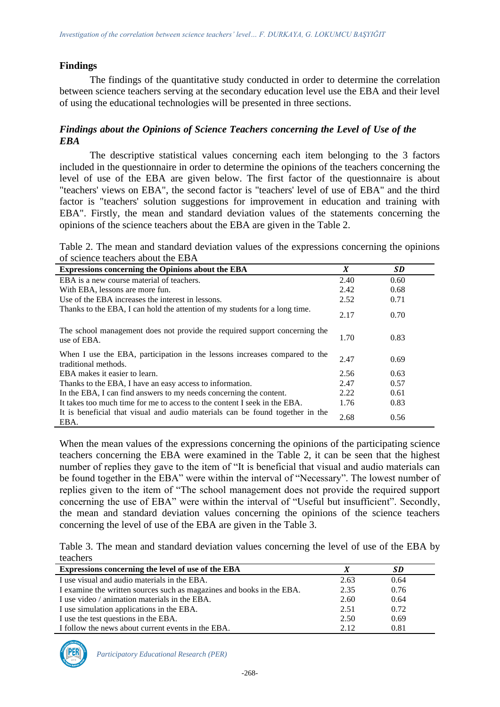#### **Findings**

The findings of the quantitative study conducted in order to determine the correlation between science teachers serving at the secondary education level use the EBA and their level of using the educational technologies will be presented in three sections.

#### *Findings about the Opinions of Science Teachers concerning the Level of Use of the EBA*

The descriptive statistical values concerning each item belonging to the 3 factors included in the questionnaire in order to determine the opinions of the teachers concerning the level of use of the EBA are given below. The first factor of the questionnaire is about "teachers' views on EBA", the second factor is "teachers' level of use of EBA" and the third factor is "teachers' solution suggestions for improvement in education and training with EBA". Firstly, the mean and standard deviation values of the statements concerning the opinions of the science teachers about the EBA are given in the Table 2.

Table 2. The mean and standard deviation values of the expressions concerning the opinions of science teachers about the EBA

| <b>Expressions concerning the Opinions about the EBA</b>                                           | X    | <b>SD</b> |
|----------------------------------------------------------------------------------------------------|------|-----------|
| EBA is a new course material of teachers.                                                          | 2.40 | 0.60      |
| With EBA, lessons are more fun.                                                                    | 2.42 | 0.68      |
| Use of the EBA increases the interest in lessons.                                                  | 2.52 | 0.71      |
| Thanks to the EBA, I can hold the attention of my students for a long time.                        | 2.17 | 0.70      |
| The school management does not provide the required support concerning the<br>use of EBA.          | 1.70 | 0.83      |
| When I use the EBA, participation in the lessons increases compared to the<br>traditional methods. | 2.47 | 0.69      |
| EBA makes it easier to learn.                                                                      | 2.56 | 0.63      |
| Thanks to the EBA, I have an easy access to information.                                           | 2.47 | 0.57      |
| In the EBA, I can find answers to my needs concerning the content.                                 | 2.22 | 0.61      |
| It takes too much time for me to access to the content I seek in the EBA.                          | 1.76 | 0.83      |
| It is beneficial that visual and audio materials can be found together in the<br>EBA.              | 2.68 | 0.56      |

When the mean values of the expressions concerning the opinions of the participating science teachers concerning the EBA were examined in the Table 2, it can be seen that the highest number of replies they gave to the item of "It is beneficial that visual and audio materials can be found together in the EBA" were within the interval of "Necessary". The lowest number of replies given to the item of "The school management does not provide the required support concerning the use of EBA" were within the interval of "Useful but insufficient". Secondly, the mean and standard deviation values concerning the opinions of the science teachers concerning the level of use of the EBA are given in the Table 3.

Table 3. The mean and standard deviation values concerning the level of use of the EBA by teachers

| Expressions concerning the level of use of the EBA                    |      | SD   |  |
|-----------------------------------------------------------------------|------|------|--|
| I use visual and audio materials in the EBA.                          | 2.63 | 0.64 |  |
| I examine the written sources such as magazines and books in the EBA. | 2.35 | 0.76 |  |
| I use video / animation materials in the EBA.                         | 2.60 | 0.64 |  |
| I use simulation applications in the EBA.                             | 2.51 | 0.72 |  |
| I use the test questions in the EBA.                                  | 2.50 | 0.69 |  |
| I follow the news about current events in the EBA.                    | 2.12 | 0.81 |  |



*Participatory Educational Research (PER)*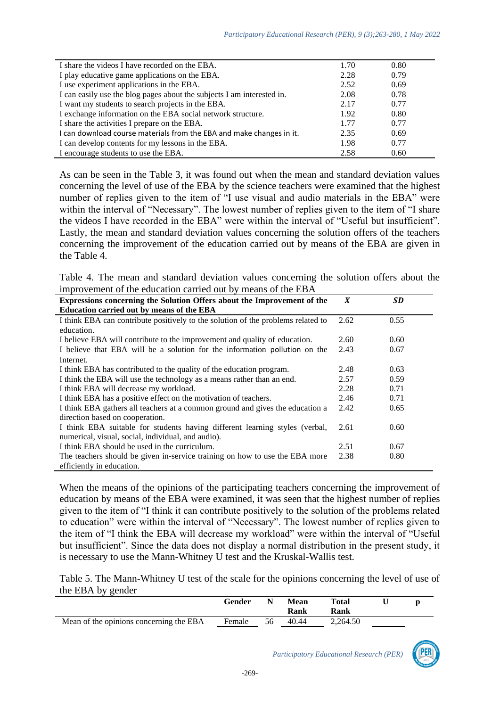| I share the videos I have recorded on the EBA.                         | 1.70 | 0.80 |
|------------------------------------------------------------------------|------|------|
| I play educative game applications on the EBA.                         | 2.28 | 0.79 |
| I use experiment applications in the EBA.                              | 2.52 | 0.69 |
| I can easily use the blog pages about the subjects I am interested in. | 2.08 | 0.78 |
| I want my students to search projects in the EBA.                      | 2.17 | 0.77 |
| I exchange information on the EBA social network structure.            | 1.92 | 0.80 |
| I share the activities I prepare on the EBA.                           | 1.77 | 0.77 |
| I can download course materials from the EBA and make changes in it.   | 2.35 | 0.69 |
| I can develop contents for my lessons in the EBA.                      | 1.98 | 0.77 |
| I encourage students to use the EBA.                                   | 2.58 | 0.60 |

As can be seen in the Table 3, it was found out when the mean and standard deviation values concerning the level of use of the EBA by the science teachers were examined that the highest number of replies given to the item of "I use visual and audio materials in the EBA" were within the interval of "Necessary". The lowest number of replies given to the item of "I share the videos I have recorded in the EBA" were within the interval of "Useful but insufficient". Lastly, the mean and standard deviation values concerning the solution offers of the teachers concerning the improvement of the education carried out by means of the EBA are given in the Table 4.

Table 4. The mean and standard deviation values concerning the solution offers about the improvement of the education carried out by means of the EBA

| $\mathbf{u}_{\mathbf{p}}, \mathbf{v}$ , where $\mathbf{v}$ are a constant $\mathbf{v}$ and $\mathbf{v}$ are $\mathbf{v}$ and $\mathbf{v}$ and $\mathbf{v}$ |      |      |
|------------------------------------------------------------------------------------------------------------------------------------------------------------|------|------|
| Expressions concerning the Solution Offers about the Improvement of the                                                                                    | X    | SD   |
| Education carried out by means of the EBA                                                                                                                  |      |      |
| I think EBA can contribute positively to the solution of the problems related to                                                                           | 2.62 | 0.55 |
| education.                                                                                                                                                 |      |      |
| I believe EBA will contribute to the improvement and quality of education.                                                                                 | 2.60 | 0.60 |
| I believe that EBA will be a solution for the information pollution on the                                                                                 | 2.43 | 0.67 |
| Internet.                                                                                                                                                  |      |      |
| I think EBA has contributed to the quality of the education program.                                                                                       | 2.48 | 0.63 |
| I think the EBA will use the technology as a means rather than an end.                                                                                     | 2.57 | 0.59 |
| I think EBA will decrease my workload.                                                                                                                     | 2.28 | 0.71 |
| I think EBA has a positive effect on the motivation of teachers.                                                                                           | 2.46 | 0.71 |
| I think EBA gathers all teachers at a common ground and gives the education a                                                                              | 2.42 | 0.65 |
| direction based on cooperation.                                                                                                                            |      |      |
| I think EBA suitable for students having different learning styles (verbal,                                                                                | 2.61 | 0.60 |
| numerical, visual, social, individual, and audio).                                                                                                         |      |      |
| I think EBA should be used in the curriculum.                                                                                                              | 2.51 | 0.67 |
| The teachers should be given in-service training on how to use the EBA more                                                                                | 2.38 | 0.80 |
| efficiently in education.                                                                                                                                  |      |      |

When the means of the opinions of the participating teachers concerning the improvement of education by means of the EBA were examined, it was seen that the highest number of replies given to the item of "I think it can contribute positively to the solution of the problems related to education" were within the interval of "Necessary". The lowest number of replies given to the item of "I think the EBA will decrease my workload" were within the interval of "Useful but insufficient". Since the data does not display a normal distribution in the present study, it is necessary to use the Mann-Whitney U test and the Kruskal-Wallis test.

Table 5. The Mann-Whitney U test of the scale for the opinions concerning the level of use of the EBA by gender

|                                         | Gender |    | Mean<br>Rank | Total<br>Rank |  |
|-----------------------------------------|--------|----|--------------|---------------|--|
| Mean of the opinions concerning the EBA | Female | 56 | 40.44        | 2,264.50      |  |

-269-

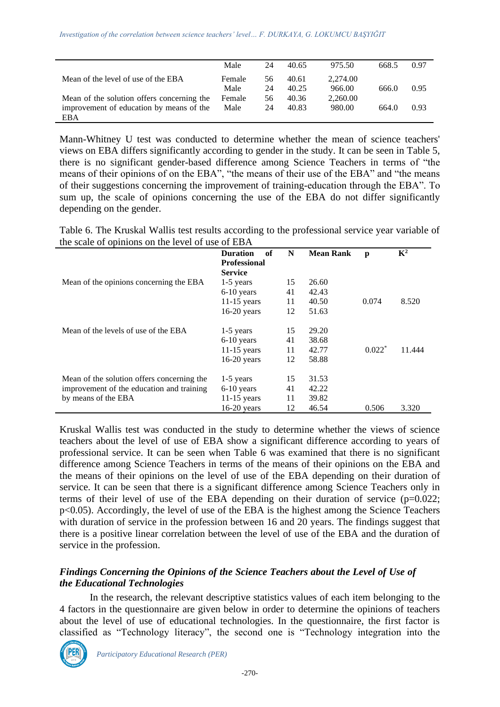|                                            | Male   | 24 | 40.65 | 975.50   | 668.5 | 0.97 |
|--------------------------------------------|--------|----|-------|----------|-------|------|
| Mean of the level of use of the EBA        | Female | 56 | 40.61 | 2.274.00 |       |      |
|                                            | Male   | 24 | 40.25 | 966.00   | 666.0 | 0.95 |
| Mean of the solution offers concerning the | Female | 56 | 40.36 | 2,260.00 |       |      |
| improvement of education by means of the   | Male   | 24 | 40.83 | 980.00   | 664.0 | 0.93 |
| EBA                                        |        |    |       |          |       |      |

Mann-Whitney U test was conducted to determine whether the mean of science teachers' views on EBA differs significantly according to gender in the study. It can be seen in Table 5, there is no significant gender-based difference among Science Teachers in terms of "the means of their opinions of on the EBA", "the means of their use of the EBA" and "the means of their suggestions concerning the improvement of training-education through the EBA". To sum up, the scale of opinions concerning the use of the EBA do not differ significantly depending on the gender.

Table 6. The Kruskal Wallis test results according to the professional service year variable of the scale of opinions on the level of use of EBA

|                                            | <b>Duration</b><br>of<br><b>Professional</b><br><b>Service</b> | N  | <b>Mean Rank</b> | p        | $\mathbf{K}^2$ |
|--------------------------------------------|----------------------------------------------------------------|----|------------------|----------|----------------|
| Mean of the opinions concerning the EBA    | $1-5$ years                                                    | 15 | 26.60            |          |                |
|                                            | $6-10$ years                                                   | 41 | 42.43            |          |                |
|                                            | $11-15$ years                                                  | 11 | 40.50            | 0.074    | 8.520          |
|                                            | $16-20$ years                                                  | 12 | 51.63            |          |                |
| Mean of the levels of use of the EBA       | $1-5$ years                                                    | 15 | 29.20            |          |                |
|                                            | $6-10$ years                                                   | 41 | 38.68            |          |                |
|                                            | $11-15$ years                                                  | 11 | 42.77            | $0.022*$ | 11.444         |
|                                            | $16-20$ years                                                  | 12 | 58.88            |          |                |
| Mean of the solution offers concerning the | $1-5$ years                                                    | 15 | 31.53            |          |                |
| improvement of the education and training  | $6-10$ years                                                   | 41 | 42.22            |          |                |
| by means of the EBA                        | $11-15$ years                                                  | 11 | 39.82            |          |                |
|                                            | $16-20$ years                                                  | 12 | 46.54            | 0.506    | 3.320          |

Kruskal Wallis test was conducted in the study to determine whether the views of science teachers about the level of use of EBA show a significant difference according to years of professional service. It can be seen when Table 6 was examined that there is no significant difference among Science Teachers in terms of the means of their opinions on the EBA and the means of their opinions on the level of use of the EBA depending on their duration of service. It can be seen that there is a significant difference among Science Teachers only in terms of their level of use of the EBA depending on their duration of service  $(p=0.022;$ p<0.05). Accordingly, the level of use of the EBA is the highest among the Science Teachers with duration of service in the profession between 16 and 20 years. The findings suggest that there is a positive linear correlation between the level of use of the EBA and the duration of service in the profession.

### *Findings Concerning the Opinions of the Science Teachers about the Level of Use of the Educational Technologies*

In the research, the relevant descriptive statistics values of each item belonging to the 4 factors in the questionnaire are given below in order to determine the opinions of teachers about the level of use of educational technologies. In the questionnaire, the first factor is classified as "Technology literacy", the second one is "Technology integration into the

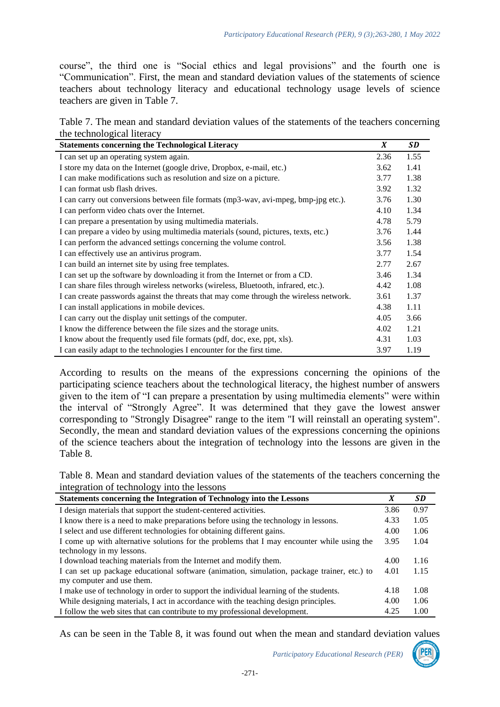course", the third one is "Social ethics and legal provisions" and the fourth one is "Communication". First, the mean and standard deviation values of the statements of science teachers about technology literacy and educational technology usage levels of science teachers are given in Table 7.

Table 7. The mean and standard deviation values of the statements of the teachers concerning the technological literacy

| <b>Statements concerning the Technological Literacy</b>                                | X    | SD   |
|----------------------------------------------------------------------------------------|------|------|
| I can set up an operating system again.                                                | 2.36 | 1.55 |
| I store my data on the Internet (google drive, Dropbox, e-mail, etc.)                  | 3.62 | 1.41 |
| I can make modifications such as resolution and size on a picture.                     | 3.77 | 1.38 |
| I can format usb flash drives.                                                         | 3.92 | 1.32 |
| I can carry out conversions between file formats (mp3-wav, avi-mpeg, bmp-jpg etc.).    | 3.76 | 1.30 |
| I can perform video chats over the Internet.                                           | 4.10 | 1.34 |
| I can prepare a presentation by using multimedia materials.                            | 4.78 | 5.79 |
| I can prepare a video by using multimedia materials (sound, pictures, texts, etc.)     | 3.76 | 1.44 |
| I can perform the advanced settings concerning the volume control.                     | 3.56 | 1.38 |
| I can effectively use an antivirus program.                                            | 3.77 | 1.54 |
| I can build an internet site by using free templates.                                  | 2.77 | 2.67 |
| I can set up the software by downloading it from the Internet or from a CD.            | 3.46 | 1.34 |
| I can share files through wireless networks (wireless, Bluetooth, infrared, etc.).     | 4.42 | 1.08 |
| I can create passwords against the threats that may come through the wireless network. | 3.61 | 1.37 |
| I can install applications in mobile devices.                                          | 4.38 | 1.11 |
| I can carry out the display unit settings of the computer.                             | 4.05 | 3.66 |
| I know the difference between the file sizes and the storage units.                    | 4.02 | 1.21 |
| I know about the frequently used file formats (pdf, doc, exe, ppt, xls).               | 4.31 | 1.03 |
| I can easily adapt to the technologies I encounter for the first time.                 | 3.97 | 1.19 |

According to results on the means of the expressions concerning the opinions of the participating science teachers about the technological literacy, the highest number of answers given to the item of "I can prepare a presentation by using multimedia elements" were within the interval of "Strongly Agree". It was determined that they gave the lowest answer corresponding to "Strongly Disagree" range to the item "I will reinstall an operating system". Secondly, the mean and standard deviation values of the expressions concerning the opinions of the science teachers about the integration of technology into the lessons are given in the Table 8.

Table 8. Mean and standard deviation values of the statements of the teachers concerning the integration of technology into the lessons

| Statements concerning the Integration of Technology into the Lessons                        | X    | SD   |
|---------------------------------------------------------------------------------------------|------|------|
| I design materials that support the student-centered activities.                            | 3.86 | 0.97 |
| I know there is a need to make preparations before using the technology in lessons.         |      |      |
| I select and use different technologies for obtaining different gains.                      | 4.00 | 1.06 |
| I come up with alternative solutions for the problems that I may encounter while using the  |      | 1.04 |
| technology in my lessons.                                                                   |      |      |
| I download teaching materials from the Internet and modify them.                            | 4.00 | 1.16 |
| I can set up package educational software (animation, simulation, package trainer, etc.) to |      | 1.15 |
| my computer and use them.                                                                   |      |      |
| I make use of technology in order to support the individual learning of the students.       | 4.18 | 1.08 |
| While designing materials, I act in accordance with the teaching design principles.         | 4.00 | 1.06 |
| I follow the web sites that can contribute to my professional development.                  | 4.25 | 1.00 |

As can be seen in the Table 8, it was found out when the mean and standard deviation values

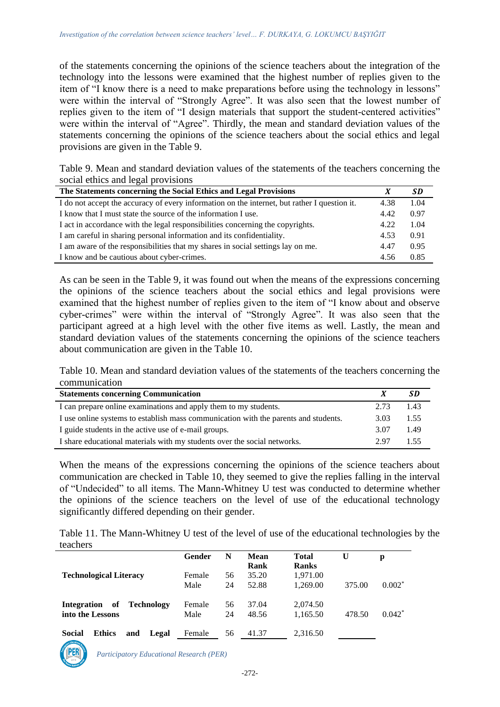of the statements concerning the opinions of the science teachers about the integration of the technology into the lessons were examined that the highest number of replies given to the item of "I know there is a need to make preparations before using the technology in lessons" were within the interval of "Strongly Agree". It was also seen that the lowest number of replies given to the item of "I design materials that support the student-centered activities" were within the interval of "Agree". Thirdly, the mean and standard deviation values of the statements concerning the opinions of the science teachers about the social ethics and legal provisions are given in the Table 9.

Table 9. Mean and standard deviation values of the statements of the teachers concerning the social ethics and legal provisions

| The Statements concerning the Social Ethics and Legal Provisions                             |      | SD   |
|----------------------------------------------------------------------------------------------|------|------|
| I do not accept the accuracy of every information on the internet, but rather I question it. | 4.38 | 1.04 |
| I know that I must state the source of the information I use.                                | 4.42 | 0.97 |
| I act in accordance with the legal responsibilities concerning the copyrights.               | 4.22 | 1.04 |
| I am careful in sharing personal information and its confidentiality.                        | 4.53 | 0.91 |
| I am aware of the responsibilities that my shares in social settings lay on me.              | 4.47 | 0.95 |
| I know and be cautious about cyber-crimes.                                                   | 4.56 | 0.85 |

As can be seen in the Table 9, it was found out when the means of the expressions concerning the opinions of the science teachers about the social ethics and legal provisions were examined that the highest number of replies given to the item of "I know about and observe cyber-crimes" were within the interval of "Strongly Agree". It was also seen that the participant agreed at a high level with the other five items as well. Lastly, the mean and standard deviation values of the statements concerning the opinions of the science teachers about communication are given in the Table 10.

Table 10. Mean and standard deviation values of the statements of the teachers concerning the communication

| <b>Statements concerning Communication</b>                                          |      |      |
|-------------------------------------------------------------------------------------|------|------|
| I can prepare online examinations and apply them to my students.                    | 2.73 | 1.43 |
| I use online systems to establish mass communication with the parents and students. | 3.03 | 1.55 |
| I guide students in the active use of e-mail groups.                                | 3.07 | 149  |
| I share educational materials with my students over the social networks.            | 2.97 | 155  |

When the means of the expressions concerning the opinions of the science teachers about communication are checked in Table 10, they seemed to give the replies falling in the interval of "Undecided" to all items. The Mann-Whitney U test was conducted to determine whether the opinions of the science teachers on the level of use of the educational technology significantly differed depending on their gender.

Table 11. The Mann-Whitney U test of the level of use of the educational technologies by the teachers

|                                                             | Gender         | N        | <b>Mean</b><br>Rank | <b>Total</b><br><b>Ranks</b> | U      | р        |
|-------------------------------------------------------------|----------------|----------|---------------------|------------------------------|--------|----------|
| <b>Technological Literacy</b>                               | Female<br>Male | 56<br>24 | 35.20<br>52.88      | 1,971.00<br>1.269.00         | 375.00 | $0.002*$ |
| of<br><b>Technology</b><br>Integration<br>into the Lessons  | Female<br>Male | 56<br>24 | 37.04<br>48.56      | 2,074.50<br>1,165.50         | 478.50 | $0.042*$ |
| <b>Social</b><br><b>Ethics</b><br>and<br>Legal<br>tducation | Female         | 56       | 41.37               | 2,316.50                     |        |          |



*Participatory Educational Research (PER)*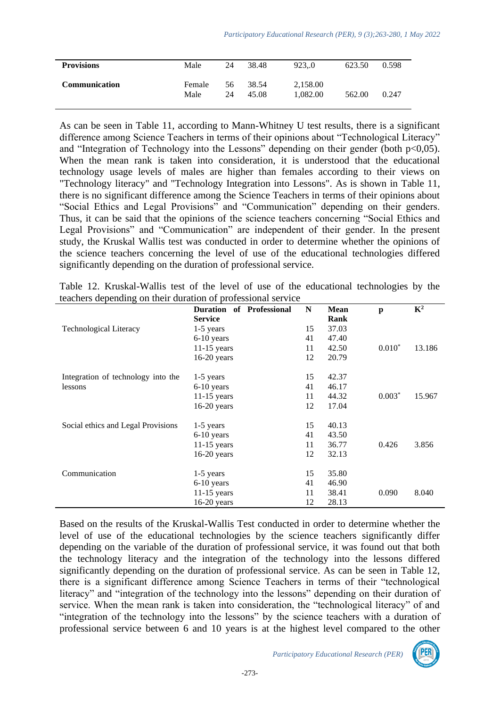| <b>Provisions</b>    | Male           | 24       | 38.48          | 923.0                | 623.50 | 0.598 |
|----------------------|----------------|----------|----------------|----------------------|--------|-------|
| <b>Communication</b> | Female<br>Male | 56<br>24 | 38.54<br>45.08 | 2,158.00<br>1.082.00 | 562.00 | 0.247 |

As can be seen in Table 11, according to Mann-Whitney U test results, there is a significant difference among Science Teachers in terms of their opinions about "Technological Literacy" and "Integration of Technology into the Lessons" depending on their gender (both  $p<0,05$ ). When the mean rank is taken into consideration, it is understood that the educational technology usage levels of males are higher than females according to their views on "Technology literacy" and "Technology Integration into Lessons". As is shown in Table 11, there is no significant difference among the Science Teachers in terms of their opinions about "Social Ethics and Legal Provisions" and "Communication" depending on their genders. Thus, it can be said that the opinions of the science teachers concerning "Social Ethics and Legal Provisions" and "Communication" are independent of their gender. In the present study, the Kruskal Wallis test was conducted in order to determine whether the opinions of the science teachers concerning the level of use of the educational technologies differed significantly depending on the duration of professional service.

|  |                                                              |  |  |  |  |  | Table 12. Kruskal-Wallis test of the level of use of the educational technologies by the |  |
|--|--------------------------------------------------------------|--|--|--|--|--|------------------------------------------------------------------------------------------|--|
|  | teachers depending on their duration of professional service |  |  |  |  |  |                                                                                          |  |

|                                    | <b>Duration</b><br>of Professional<br><b>Service</b> | N  | <b>Mean</b><br>Rank | p        | $\mathbf{K}^2$ |
|------------------------------------|------------------------------------------------------|----|---------------------|----------|----------------|
| <b>Technological Literacy</b>      | 1-5 years                                            | 15 | 37.03               |          |                |
|                                    | $6-10$ years                                         | 41 | 47.40               |          |                |
|                                    | $11-15$ years                                        | 11 | 42.50               | $0.010*$ | 13.186         |
|                                    | $16-20$ years                                        | 12 | 20.79               |          |                |
| Integration of technology into the | $1-5$ years                                          | 15 | 42.37               |          |                |
| lessons                            | $6-10$ years                                         | 41 | 46.17               |          |                |
|                                    | $11-15$ years                                        | 11 | 44.32               | $0.003*$ | 15.967         |
|                                    | $16-20$ years                                        | 12 | 17.04               |          |                |
| Social ethics and Legal Provisions | $1-5$ years                                          | 15 | 40.13               |          |                |
|                                    | $6-10$ years                                         | 41 | 43.50               |          |                |
|                                    | $11-15$ years                                        | 11 | 36.77               | 0.426    | 3.856          |
|                                    | $16-20$ years                                        | 12 | 32.13               |          |                |
| Communication                      | $1-5$ years                                          | 15 | 35.80               |          |                |
|                                    | $6-10$ years                                         | 41 | 46.90               |          |                |
|                                    | $11-15$ years                                        | 11 | 38.41               | 0.090    | 8.040          |
|                                    | $16-20$ years                                        | 12 | 28.13               |          |                |

Based on the results of the Kruskal-Wallis Test conducted in order to determine whether the level of use of the educational technologies by the science teachers significantly differ depending on the variable of the duration of professional service, it was found out that both the technology literacy and the integration of the technology into the lessons differed significantly depending on the duration of professional service. As can be seen in Table 12, there is a significant difference among Science Teachers in terms of their "technological literacy" and "integration of the technology into the lessons" depending on their duration of service. When the mean rank is taken into consideration, the "technological literacy" of and "integration of the technology into the lessons" by the science teachers with a duration of professional service between 6 and 10 years is at the highest level compared to the other

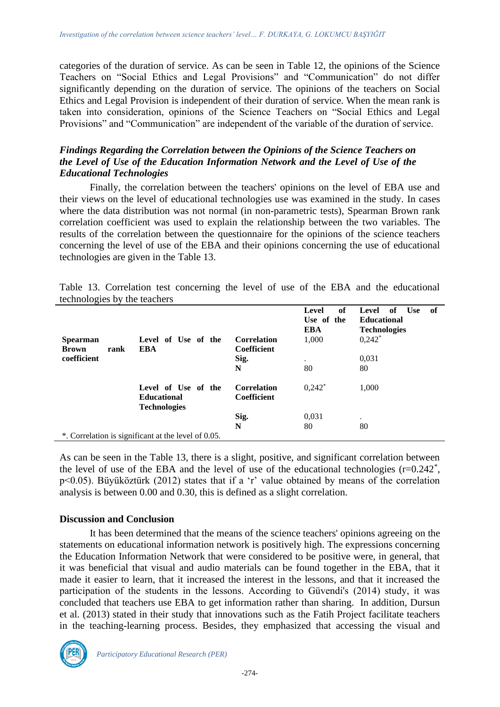categories of the duration of service. As can be seen in Table 12, the opinions of the Science Teachers on "Social Ethics and Legal Provisions" and "Communication" do not differ significantly depending on the duration of service. The opinions of the teachers on Social Ethics and Legal Provision is independent of their duration of service. When the mean rank is taken into consideration, opinions of the Science Teachers on "Social Ethics and Legal Provisions" and "Communication" are independent of the variable of the duration of service.

### *Findings Regarding the Correlation between the Opinions of the Science Teachers on the Level of Use of the Education Information Network and the Level of Use of the Educational Technologies*

Finally, the correlation between the teachers' opinions on the level of EBA use and their views on the level of educational technologies use was examined in the study. In cases where the data distribution was not normal (in non-parametric tests), Spearman Brown rank correlation coefficient was used to explain the relationship between the two variables. The results of the correlation between the questionnaire for the opinions of the science teachers concerning the level of use of the EBA and their opinions concerning the use of educational technologies are given in the Table 13.

| technologies by the teachers            |                                                                  |                                          |                                           |                                                                                                      |  |  |  |  |  |
|-----------------------------------------|------------------------------------------------------------------|------------------------------------------|-------------------------------------------|------------------------------------------------------------------------------------------------------|--|--|--|--|--|
| <b>Spearman</b><br>rank<br><b>Brown</b> | Level of Use of the<br>EBA                                       | <b>Correlation</b><br><b>Coefficient</b> | of<br>Level<br>Use of the<br>EBA<br>1,000 | <b>Use</b><br>Level<br>of<br>of<br><b>Educational</b><br><b>Technologies</b><br>$0,242$ <sup>*</sup> |  |  |  |  |  |
| coefficient                             |                                                                  | Sig.<br>N                                | $\cdot$<br>80                             | 0,031<br>80                                                                                          |  |  |  |  |  |
|                                         | Level of Use of the<br><b>Educational</b><br><b>Technologies</b> | <b>Correlation</b><br><b>Coefficient</b> | $0,242^*$                                 | 1,000                                                                                                |  |  |  |  |  |
|                                         |                                                                  | Sig.                                     | 0,031                                     |                                                                                                      |  |  |  |  |  |

Table 13. Correlation test concerning the level of use of the EBA and the educational

\*. Correlation is significant at the level of 0.05.

As can be seen in the Table 13, there is a slight, positive, and significant correlation between the level of use of the EBA and the level of use of the educational technologies  $(r=0.242^*)$ , p<0.05). Büyüköztürk (2012) states that if a 'r' value obtained by means of the correlation analysis is between 0.00 and 0.30, this is defined as a slight correlation.

**N** 80 80

#### **Discussion and Conclusion**

It has been determined that the means of the science teachers' opinions agreeing on the statements on educational information network is positively high. The expressions concerning the Education Information Network that were considered to be positive were, in general, that it was beneficial that visual and audio materials can be found together in the EBA, that it made it easier to learn, that it increased the interest in the lessons, and that it increased the participation of the students in the lessons. According to Güvendi's (2014) study, it was concluded that teachers use EBA to get information rather than sharing. In addition, Dursun et al. (2013) stated in their study that innovations such as the Fatih Project facilitate teachers in the teaching-learning process. Besides, they emphasized that accessing the visual and

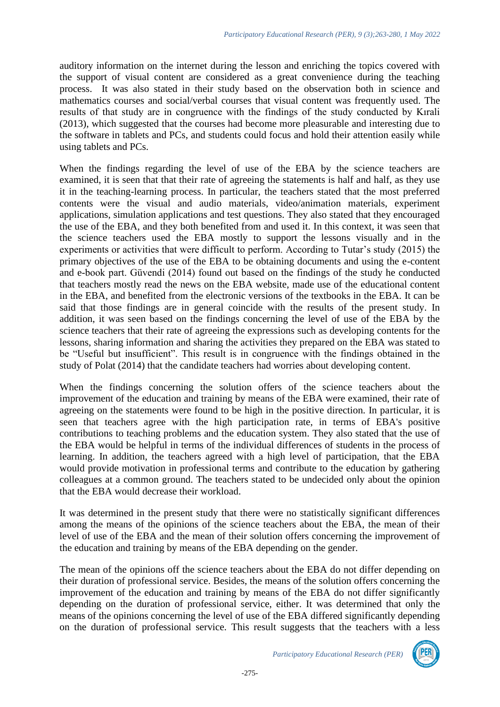auditory information on the internet during the lesson and enriching the topics covered with the support of visual content are considered as a great convenience during the teaching process. It was also stated in their study based on the observation both in science and mathematics courses and social/verbal courses that visual content was frequently used. The results of that study are in congruence with the findings of the study conducted by Kırali (2013), which suggested that the courses had become more pleasurable and interesting due to the software in tablets and PCs, and students could focus and hold their attention easily while using tablets and PCs.

When the findings regarding the level of use of the EBA by the science teachers are examined, it is seen that that their rate of agreeing the statements is half and half, as they use it in the teaching-learning process. In particular, the teachers stated that the most preferred contents were the visual and audio materials, video/animation materials, experiment applications, simulation applications and test questions. They also stated that they encouraged the use of the EBA, and they both benefited from and used it. In this context, it was seen that the science teachers used the EBA mostly to support the lessons visually and in the experiments or activities that were difficult to perform. According to Tutar's study (2015) the primary objectives of the use of the EBA to be obtaining documents and using the e-content and e-book part. Güvendi (2014) found out based on the findings of the study he conducted that teachers mostly read the news on the EBA website, made use of the educational content in the EBA, and benefited from the electronic versions of the textbooks in the EBA. It can be said that those findings are in general coincide with the results of the present study. In addition, it was seen based on the findings concerning the level of use of the EBA by the science teachers that their rate of agreeing the expressions such as developing contents for the lessons, sharing information and sharing the activities they prepared on the EBA was stated to be "Useful but insufficient". This result is in congruence with the findings obtained in the study of Polat (2014) that the candidate teachers had worries about developing content.

When the findings concerning the solution offers of the science teachers about the improvement of the education and training by means of the EBA were examined, their rate of agreeing on the statements were found to be high in the positive direction. In particular, it is seen that teachers agree with the high participation rate, in terms of EBA's positive contributions to teaching problems and the education system. They also stated that the use of the EBA would be helpful in terms of the individual differences of students in the process of learning. In addition, the teachers agreed with a high level of participation, that the EBA would provide motivation in professional terms and contribute to the education by gathering colleagues at a common ground. The teachers stated to be undecided only about the opinion that the EBA would decrease their workload.

It was determined in the present study that there were no statistically significant differences among the means of the opinions of the science teachers about the EBA, the mean of their level of use of the EBA and the mean of their solution offers concerning the improvement of the education and training by means of the EBA depending on the gender.

The mean of the opinions off the science teachers about the EBA do not differ depending on their duration of professional service. Besides, the means of the solution offers concerning the improvement of the education and training by means of the EBA do not differ significantly depending on the duration of professional service, either. It was determined that only the means of the opinions concerning the level of use of the EBA differed significantly depending on the duration of professional service. This result suggests that the teachers with a less

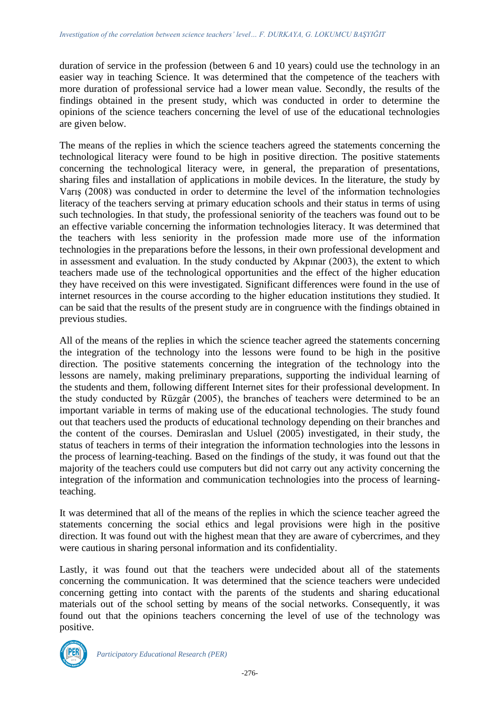duration of service in the profession (between 6 and 10 years) could use the technology in an easier way in teaching Science. It was determined that the competence of the teachers with more duration of professional service had a lower mean value. Secondly, the results of the findings obtained in the present study, which was conducted in order to determine the opinions of the science teachers concerning the level of use of the educational technologies are given below.

The means of the replies in which the science teachers agreed the statements concerning the technological literacy were found to be high in positive direction. The positive statements concerning the technological literacy were, in general, the preparation of presentations, sharing files and installation of applications in mobile devices. In the literature, the study by Varış (2008) was conducted in order to determine the level of the information technologies literacy of the teachers serving at primary education schools and their status in terms of using such technologies. In that study, the professional seniority of the teachers was found out to be an effective variable concerning the information technologies literacy. It was determined that the teachers with less seniority in the profession made more use of the information technologies in the preparations before the lessons, in their own professional development and in assessment and evaluation. In the study conducted by Akpınar (2003), the extent to which teachers made use of the technological opportunities and the effect of the higher education they have received on this were investigated. Significant differences were found in the use of internet resources in the course according to the higher education institutions they studied. It can be said that the results of the present study are in congruence with the findings obtained in previous studies.

All of the means of the replies in which the science teacher agreed the statements concerning the integration of the technology into the lessons were found to be high in the positive direction. The positive statements concerning the integration of the technology into the lessons are namely, making preliminary preparations, supporting the individual learning of the students and them, following different Internet sites for their professional development. In the study conducted by Rüzgâr (2005), the branches of teachers were determined to be an important variable in terms of making use of the educational technologies. The study found out that teachers used the products of educational technology depending on their branches and the content of the courses. Demiraslan and Usluel (2005) investigated, in their study, the status of teachers in terms of their integration the information technologies into the lessons in the process of learning-teaching. Based on the findings of the study, it was found out that the majority of the teachers could use computers but did not carry out any activity concerning the integration of the information and communication technologies into the process of learningteaching.

It was determined that all of the means of the replies in which the science teacher agreed the statements concerning the social ethics and legal provisions were high in the positive direction. It was found out with the highest mean that they are aware of cybercrimes, and they were cautious in sharing personal information and its confidentiality.

Lastly, it was found out that the teachers were undecided about all of the statements concerning the communication. It was determined that the science teachers were undecided concerning getting into contact with the parents of the students and sharing educational materials out of the school setting by means of the social networks. Consequently, it was found out that the opinions teachers concerning the level of use of the technology was positive.

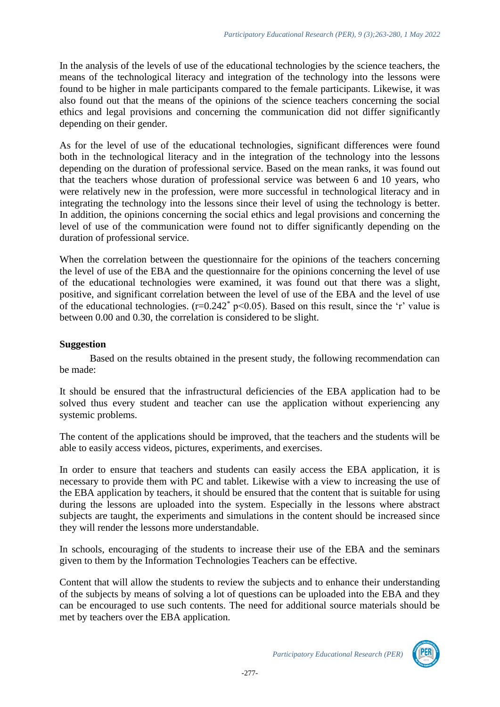In the analysis of the levels of use of the educational technologies by the science teachers, the means of the technological literacy and integration of the technology into the lessons were found to be higher in male participants compared to the female participants. Likewise, it was also found out that the means of the opinions of the science teachers concerning the social ethics and legal provisions and concerning the communication did not differ significantly depending on their gender.

As for the level of use of the educational technologies, significant differences were found both in the technological literacy and in the integration of the technology into the lessons depending on the duration of professional service. Based on the mean ranks, it was found out that the teachers whose duration of professional service was between 6 and 10 years, who were relatively new in the profession, were more successful in technological literacy and in integrating the technology into the lessons since their level of using the technology is better. In addition, the opinions concerning the social ethics and legal provisions and concerning the level of use of the communication were found not to differ significantly depending on the duration of professional service.

When the correlation between the questionnaire for the opinions of the teachers concerning the level of use of the EBA and the questionnaire for the opinions concerning the level of use of the educational technologies were examined, it was found out that there was a slight, positive, and significant correlation between the level of use of the EBA and the level of use of the educational technologies.  $(r=0.242^* \text{ p} < 0.05)$ . Based on this result, since the 'r' value is between 0.00 and 0.30, the correlation is considered to be slight.

#### **Suggestion**

Based on the results obtained in the present study, the following recommendation can be made:

It should be ensured that the infrastructural deficiencies of the EBA application had to be solved thus every student and teacher can use the application without experiencing any systemic problems.

The content of the applications should be improved, that the teachers and the students will be able to easily access videos, pictures, experiments, and exercises.

In order to ensure that teachers and students can easily access the EBA application, it is necessary to provide them with PC and tablet. Likewise with a view to increasing the use of the EBA application by teachers, it should be ensured that the content that is suitable for using during the lessons are uploaded into the system. Especially in the lessons where abstract subjects are taught, the experiments and simulations in the content should be increased since they will render the lessons more understandable.

In schools, encouraging of the students to increase their use of the EBA and the seminars given to them by the Information Technologies Teachers can be effective.

Content that will allow the students to review the subjects and to enhance their understanding of the subjects by means of solving a lot of questions can be uploaded into the EBA and they can be encouraged to use such contents. The need for additional source materials should be met by teachers over the EBA application.

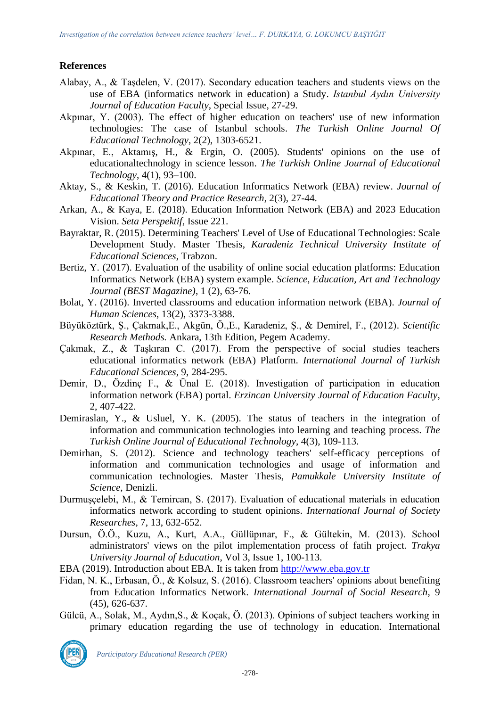### **References**

- Alabay, A., & Taşdelen, V. (2017). Secondary education teachers and students views on the use of EBA (informatics network in education) a Study. *Istanbul Aydın University Journal of Education Faculty*, Special Issue, 27-29.
- Akpınar, Y. (2003). The effect of higher education on teachers' use of new information technologies: The case of Istanbul schools. *The Turkish Online Journal Of Educational Technology*, 2(2), 1303-6521.
- Akpınar, E., Aktamış, H., & Ergin, O. (2005). Students' opinions on the use of educationaltechnology in science lesson. *The Turkish Online Journal of Educational Technology*, 4(1), 93–100.
- Aktay, S., & Keskin, T. (2016). Education Informatics Network (EBA) review. *Journal of Educational Theory and Practice Research*, 2(3), 27-44.
- Arkan, A., & Kaya, E. (2018). Education Information Network (EBA) and 2023 Education Vision. *Seta Perspektif*, Issue 221.
- Bayraktar, R. (2015). Determining Teachers' Level of Use of Educational Technologies: Scale Development Study. Master Thesis, *Karadeniz Technical University Institute of Educational Sciences*, Trabzon.
- Bertiz, Y. (2017). Evaluation of the usability of online social education platforms: Education Informatics Network (EBA) system example. *Science, Education, Art and Technology Journal (BEST Magazine)*, 1 (2), 63-76.
- Bolat, Y. (2016). Inverted classrooms and education information network (EBA). *Journal of Human Sciences*, 13(2), 3373-3388.
- Büyüköztürk, Ş., Çakmak,E., Akgün, Ö.,E., Karadeniz, Ş., & Demirel, F., (2012). *Scientific Research Methods.* Ankara, 13th Edition, Pegem Academy.
- Çakmak, Z., & Taşkıran C. (2017). From the perspective of social studies teachers educational informatics network (EBA) Platform. *International Journal of Turkish Educational Sciences*, 9, 284-295.
- Demir, D., Özdinç F., & Ünal E. (2018). Investigation of participation in education information network (EBA) portal. *Erzincan University Journal of Education Faculty*, 2, 407-422.
- Demiraslan, Y., & Usluel, Y. K. (2005). The status of teachers in the integration of information and communication technologies into learning and teaching process. *The Turkish Online Journal of Educational Technology*, 4(3), 109-113.
- Demirhan, S. (2012). Science and technology teachers' self-efficacy perceptions of information and communication technologies and usage of information and communication technologies. Master Thesis, *Pamukkale University Institute of Science*, Denizli.
- Durmuşçelebi, M., & Temircan, S. (2017). Evaluation of educational materials in education informatics network according to student opinions. *International Journal of Society Researches*, 7, 13, 632-652.
- Dursun, Ö.Ö., Kuzu, A., Kurt, A.A., Güllüpınar, F., & Gültekin, M. (2013). School administrators' views on the pilot implementation process of fatih project. *Trakya University Journal of Education*, Vol 3, Issue 1, 100-113.
- EBA (2019). Introduction about EBA. It is taken from [http://www.eba.gov.tr](http://www.eba.gov.tr/)
- Fidan, N. K., Erbasan, Ö., & Kolsuz, S. (2016). Classroom teachers' opinions about benefiting from Education Informatics Network. *International Journal of Social Research*, 9 (45), 626-637.
- Gülcü, A., Solak, M., Aydın,S., & Koçak, Ö. (2013). Opinions of subject teachers working in primary education regarding the use of technology in education. International

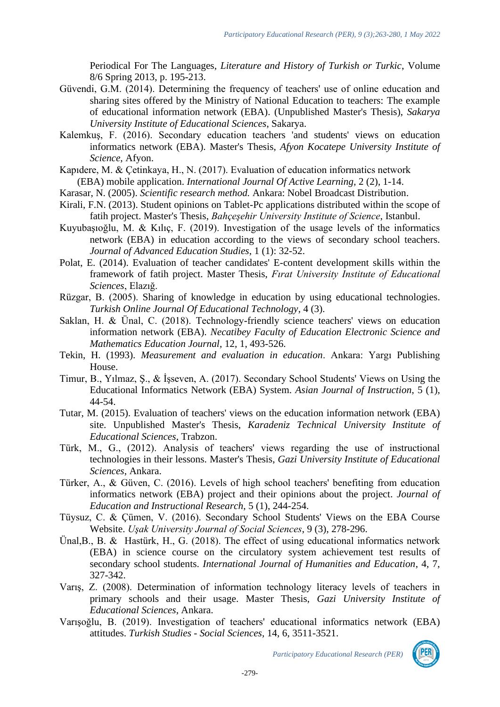Periodical For The Languages, *Literature and History of Turkish or Turkic*, Volume 8/6 Spring 2013, p. 195-213.

- Güvendi, G.M. (2014). Determining the frequency of teachers' use of online education and sharing sites offered by the Ministry of National Education to teachers: The example of educational information network (EBA). (Unpublished Master's Thesis), *Sakarya University Institute of Educational Sciences*, Sakarya.
- Kalemkuş, F. (2016). Secondary education teachers 'and students' views on education informatics network (EBA). Master's Thesis, *Afyon Kocatepe University Institute of Science*, Afyon.
- Kapıdere, M. & Çetinkaya, H., N. (2017). Evaluation of education informatics network (EBA) mobile application. *International Journal Of Active Learning*, 2 (2), 1-14.
- Karasar, N. (2005). *Scientific research method.* Ankara: Nobel Broadcast Distribution.
- Kirali, F.N. (2013). Student opinions on Tablet-Pc applications distributed within the scope of fatih project. Master's Thesis, *Bahçeşehir University Institute of Science*, Istanbul.
- Kuyubaşıoğlu, M. & Kılıç, F. (2019). Investigation of the usage levels of the informatics network (EBA) in education according to the views of secondary school teachers. *Journal of Advanced Education Studies*, 1 (1): 32-52.
- Polat, E. (2014). Evaluation of teacher candidates' E-content development skills within the framework of fatih project. Master Thesis, *Fırat University Institute of Educational Sciences*, Elazığ.
- Rüzgar, B. (2005). Sharing of knowledge in education by using educational technologies. *Turkish Online Journal Of Educational Technology*, 4 (3).
- Saklan, H. & Ünal, C. (2018). Technology-friendly science teachers' views on education information network (EBA). *Necatibey Faculty of Education Electronic Science and Mathematics Education Journal*, 12, 1, 493-526.
- Tekin, H. (1993). *Measurement and evaluation in education*. Ankara: Yargı Publishing House.
- Timur, B., Yılmaz, Ş., & İşseven, A. (2017). Secondary School Students' Views on Using the Educational Informatics Network (EBA) System. *Asian Journal of Instruction*, 5 (1), 44-54.
- Tutar, M. (2015). Evaluation of teachers' views on the education information network (EBA) site. Unpublished Master's Thesis, *Karadeniz Technical University Institute of Educational Sciences*, Trabzon.
- Türk, M., G., (2012). Analysis of teachers' views regarding the use of instructional technologies in their lessons. Master's Thesis, *Gazi University Institute of Educational Sciences*, Ankara.
- Türker, A., & Güven, C. (2016). Levels of high school teachers' benefiting from education informatics network (EBA) project and their opinions about the project. *Journal of Education and Instructional Research*, 5 (1), 244-254.
- Tüysuz, C. & Çümen, V. (2016). Secondary School Students' Views on the EBA Course Website. *Uşak University Journal of Social Sciences*, 9 (3), 278-296.
- Ünal,B., B. & Hastürk, H., G. (2018). The effect of using educational informatics network (EBA) in science course on the circulatory system achievement test results of secondary school students. *International Journal of Humanities and Education*, 4, 7, 327-342.
- Varış, Z. (2008). Determination of information technology literacy levels of teachers in primary schools and their usage. Master Thesis, *Gazi University Institute of Educational Sciences*, Ankara.
- Varışoğlu, B. (2019). Investigation of teachers' educational informatics network (EBA) attitudes. *Turkish Studies - Social Sciences*, 14, 6, 3511-3521.